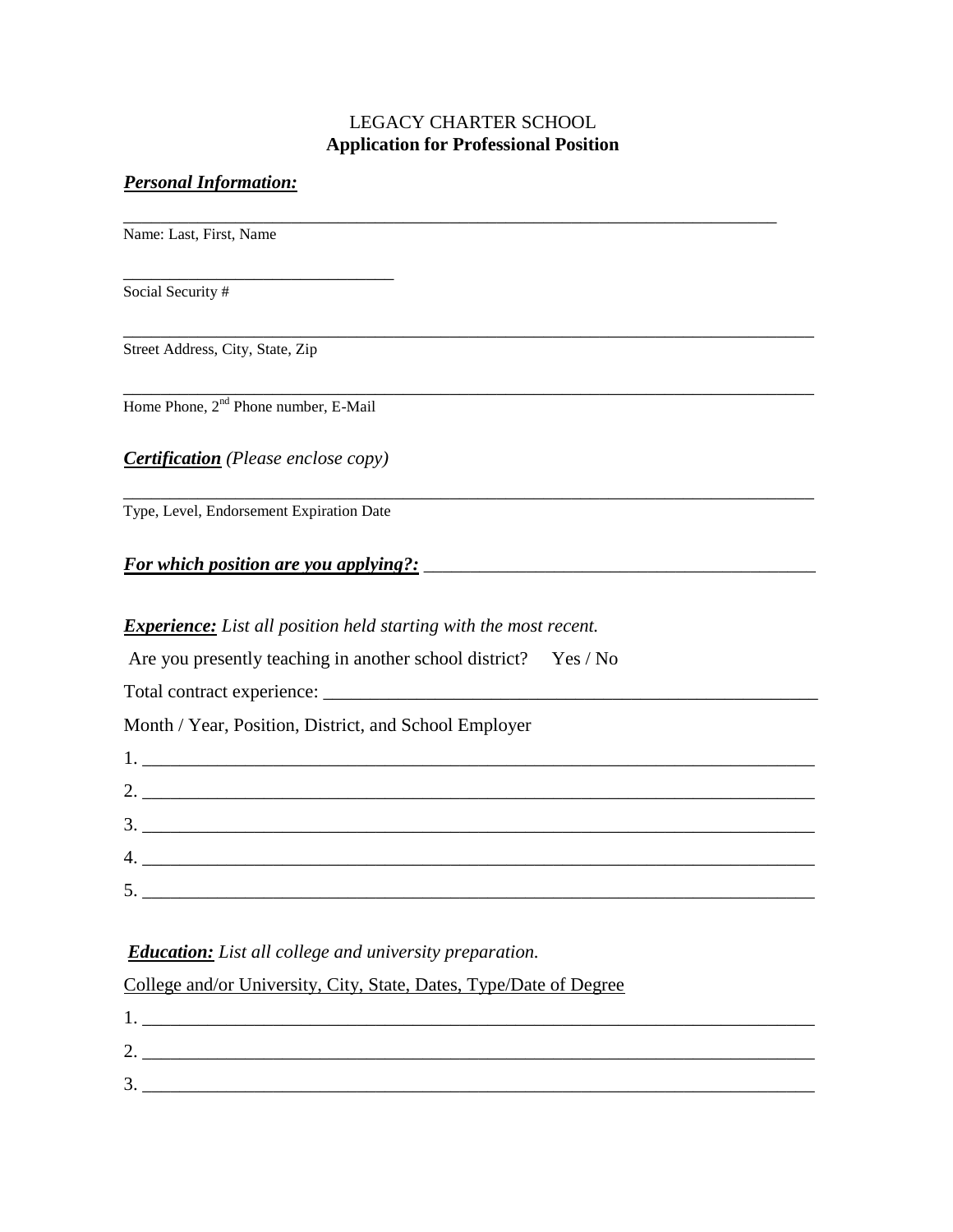# LEGACY CHARTER SCHOOL **Application for Professional Position**

\_\_\_\_\_\_\_\_\_\_\_\_\_\_\_\_\_\_\_\_\_\_\_\_\_\_\_\_\_\_\_\_\_\_\_\_\_\_\_\_\_\_\_\_\_\_\_\_\_\_\_\_\_\_\_\_\_\_\_\_\_\_\_\_\_\_\_\_\_\_\_\_\_\_

\_\_\_\_\_\_\_\_\_\_\_\_\_\_\_\_\_\_\_\_\_\_\_\_\_\_\_\_\_\_\_\_\_\_\_\_\_\_\_\_\_\_\_\_\_\_\_\_\_\_\_\_\_\_\_\_\_\_\_\_\_\_\_\_\_\_\_\_\_\_\_\_\_\_

### *Personal Information:*

\_\_\_\_\_\_\_\_\_\_\_\_\_\_\_\_\_\_\_\_\_\_\_\_\_\_\_\_\_\_\_\_\_\_\_\_\_\_\_\_\_\_\_\_\_\_\_\_\_\_\_\_\_\_\_\_\_\_\_\_\_\_\_\_\_\_\_\_\_\_ Name: Last, First, Name

Social Security #

Street Address, City, State, Zip

Home Phone, 2<sup>nd</sup> Phone number, E-Mail

\_\_\_\_\_\_\_\_\_\_\_\_\_\_\_\_\_\_\_\_\_\_\_\_\_\_\_\_\_

*Certification (Please enclose copy)*

\_\_\_\_\_\_\_\_\_\_\_\_\_\_\_\_\_\_\_\_\_\_\_\_\_\_\_\_\_\_\_\_\_\_\_\_\_\_\_\_\_\_\_\_\_\_\_\_\_\_\_\_\_\_\_\_\_\_\_\_\_\_\_\_\_\_\_\_\_\_\_\_\_\_ Type, Level, Endorsement Expiration Date

## *For which position are you applying?:*

#### *Experience: List all position held starting with the most recent.*

| Are you presently teaching in another school district? Yes / No                                                                                                                                                                                                                                                                                           |  |
|-----------------------------------------------------------------------------------------------------------------------------------------------------------------------------------------------------------------------------------------------------------------------------------------------------------------------------------------------------------|--|
|                                                                                                                                                                                                                                                                                                                                                           |  |
| Month / Year, Position, District, and School Employer                                                                                                                                                                                                                                                                                                     |  |
| $\begin{tabular}{ c c c c } \hline \rule{0.3cm}{.03cm} \rule{0.3cm}{.03cm} \rule{0.3cm}{.03cm} \rule{0.3cm}{.03cm} \rule{0.3cm}{.03cm} \rule{0.3cm}{.03cm} \rule{0.3cm}{.03cm} \rule{0.3cm}{.03cm} \rule{0.3cm}{.03cm} \rule{0.3cm}{.03cm} \rule{0.3cm}{.03cm} \rule{0.3cm}{.03cm} \rule{0.3cm}{.03cm} \rule{0.3cm}{.03cm} \rule{0.3cm}{.03cm} \rule{0.3$ |  |
| 2.                                                                                                                                                                                                                                                                                                                                                        |  |
|                                                                                                                                                                                                                                                                                                                                                           |  |
|                                                                                                                                                                                                                                                                                                                                                           |  |
|                                                                                                                                                                                                                                                                                                                                                           |  |

### *Education: List all college and university preparation.*

College and/or University, City, State, Dates, Type/Date of Degree

| ╭<br><u>L.</u>  |  |
|-----------------|--|
| ◠               |  |
| $\mathfrak{I}.$ |  |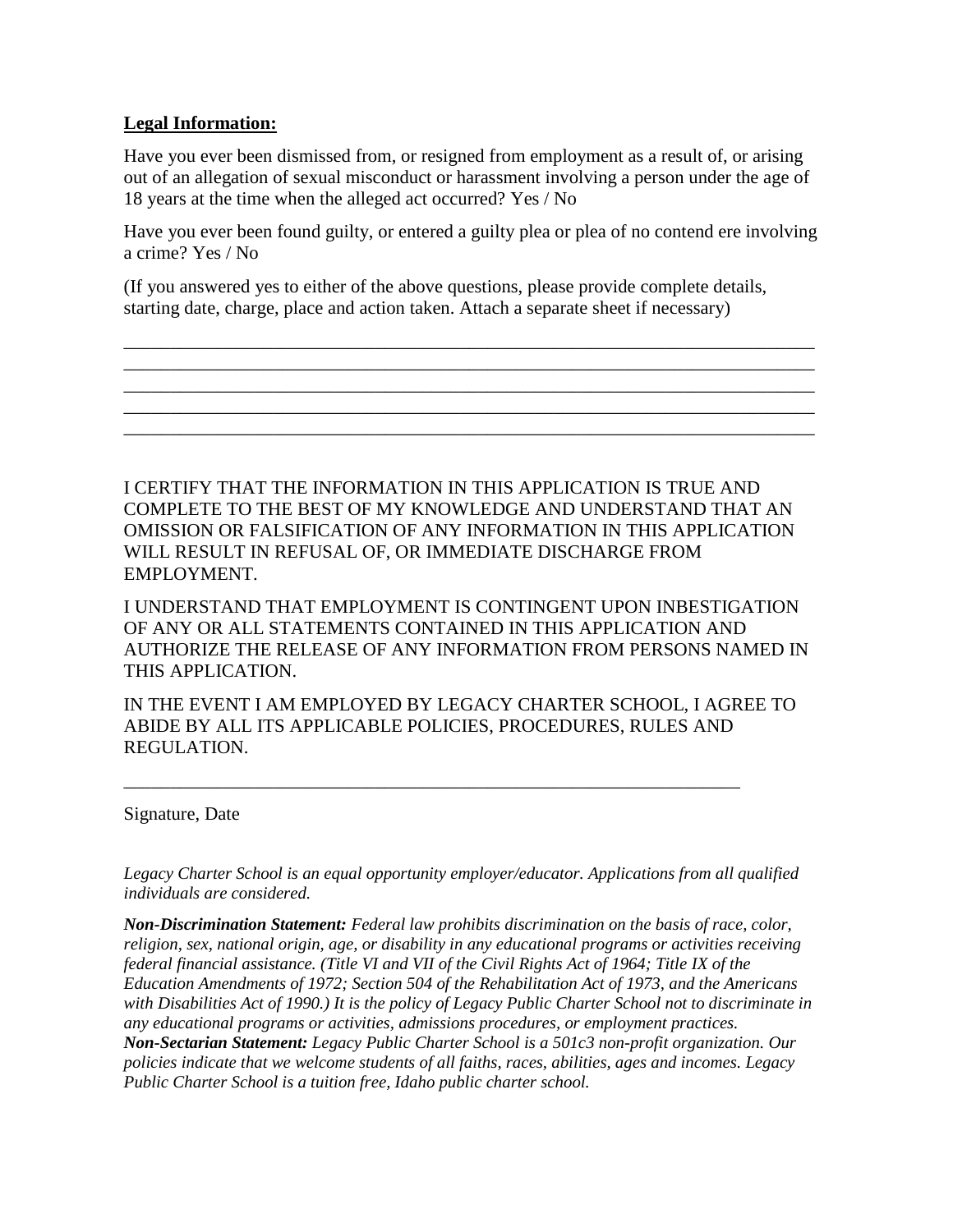## **Legal Information:**

Have you ever been dismissed from, or resigned from employment as a result of, or arising out of an allegation of sexual misconduct or harassment involving a person under the age of 18 years at the time when the alleged act occurred? Yes / No

Have you ever been found guilty, or entered a guilty plea or plea of no contend ere involving a crime? Yes / No

\_\_\_\_\_\_\_\_\_\_\_\_\_\_\_\_\_\_\_\_\_\_\_\_\_\_\_\_\_\_\_\_\_\_\_\_\_\_\_\_\_\_\_\_\_\_\_\_\_\_\_\_\_\_\_\_\_\_\_\_\_\_\_\_\_\_\_\_\_\_\_\_\_\_ \_\_\_\_\_\_\_\_\_\_\_\_\_\_\_\_\_\_\_\_\_\_\_\_\_\_\_\_\_\_\_\_\_\_\_\_\_\_\_\_\_\_\_\_\_\_\_\_\_\_\_\_\_\_\_\_\_\_\_\_\_\_\_\_\_\_\_\_\_\_\_\_\_\_ \_\_\_\_\_\_\_\_\_\_\_\_\_\_\_\_\_\_\_\_\_\_\_\_\_\_\_\_\_\_\_\_\_\_\_\_\_\_\_\_\_\_\_\_\_\_\_\_\_\_\_\_\_\_\_\_\_\_\_\_\_\_\_\_\_\_\_\_\_\_\_\_\_\_ \_\_\_\_\_\_\_\_\_\_\_\_\_\_\_\_\_\_\_\_\_\_\_\_\_\_\_\_\_\_\_\_\_\_\_\_\_\_\_\_\_\_\_\_\_\_\_\_\_\_\_\_\_\_\_\_\_\_\_\_\_\_\_\_\_\_\_\_\_\_\_\_\_\_ \_\_\_\_\_\_\_\_\_\_\_\_\_\_\_\_\_\_\_\_\_\_\_\_\_\_\_\_\_\_\_\_\_\_\_\_\_\_\_\_\_\_\_\_\_\_\_\_\_\_\_\_\_\_\_\_\_\_\_\_\_\_\_\_\_\_\_\_\_\_\_\_\_\_

(If you answered yes to either of the above questions, please provide complete details, starting date, charge, place and action taken. Attach a separate sheet if necessary)

I CERTIFY THAT THE INFORMATION IN THIS APPLICATION IS TRUE AND COMPLETE TO THE BEST OF MY KNOWLEDGE AND UNDERSTAND THAT AN OMISSION OR FALSIFICATION OF ANY INFORMATION IN THIS APPLICATION WILL RESULT IN REFUSAL OF, OR IMMEDIATE DISCHARGE FROM EMPLOYMENT.

I UNDERSTAND THAT EMPLOYMENT IS CONTINGENT UPON INBESTIGATION OF ANY OR ALL STATEMENTS CONTAINED IN THIS APPLICATION AND AUTHORIZE THE RELEASE OF ANY INFORMATION FROM PERSONS NAMED IN THIS APPLICATION.

IN THE EVENT I AM EMPLOYED BY LEGACY CHARTER SCHOOL, I AGREE TO ABIDE BY ALL ITS APPLICABLE POLICIES, PROCEDURES, RULES AND REGULATION.

\_\_\_\_\_\_\_\_\_\_\_\_\_\_\_\_\_\_\_\_\_\_\_\_\_\_\_\_\_\_\_\_\_\_\_\_\_\_\_\_\_\_\_\_\_\_\_\_\_\_\_\_\_\_\_\_\_\_\_\_\_\_\_\_\_\_

Signature, Date

*Legacy Charter School is an equal opportunity employer/educator. Applications from all qualified individuals are considered.*

*Non-Discrimination Statement: Federal law prohibits discrimination on the basis of race, color, religion, sex, national origin, age, or disability in any educational programs or activities receiving federal financial assistance. (Title VI and VII of the Civil Rights Act of 1964; Title IX of the Education Amendments of 1972; Section 504 of the Rehabilitation Act of 1973, and the Americans with Disabilities Act of 1990.) It is the policy of Legacy Public Charter School not to discriminate in any educational programs or activities, admissions procedures, or employment practices. Non-Sectarian Statement: Legacy Public Charter School is a 501c3 non-profit organization. Our policies indicate that we welcome students of all faiths, races, abilities, ages and incomes. Legacy Public Charter School is a tuition free, Idaho public charter school.*